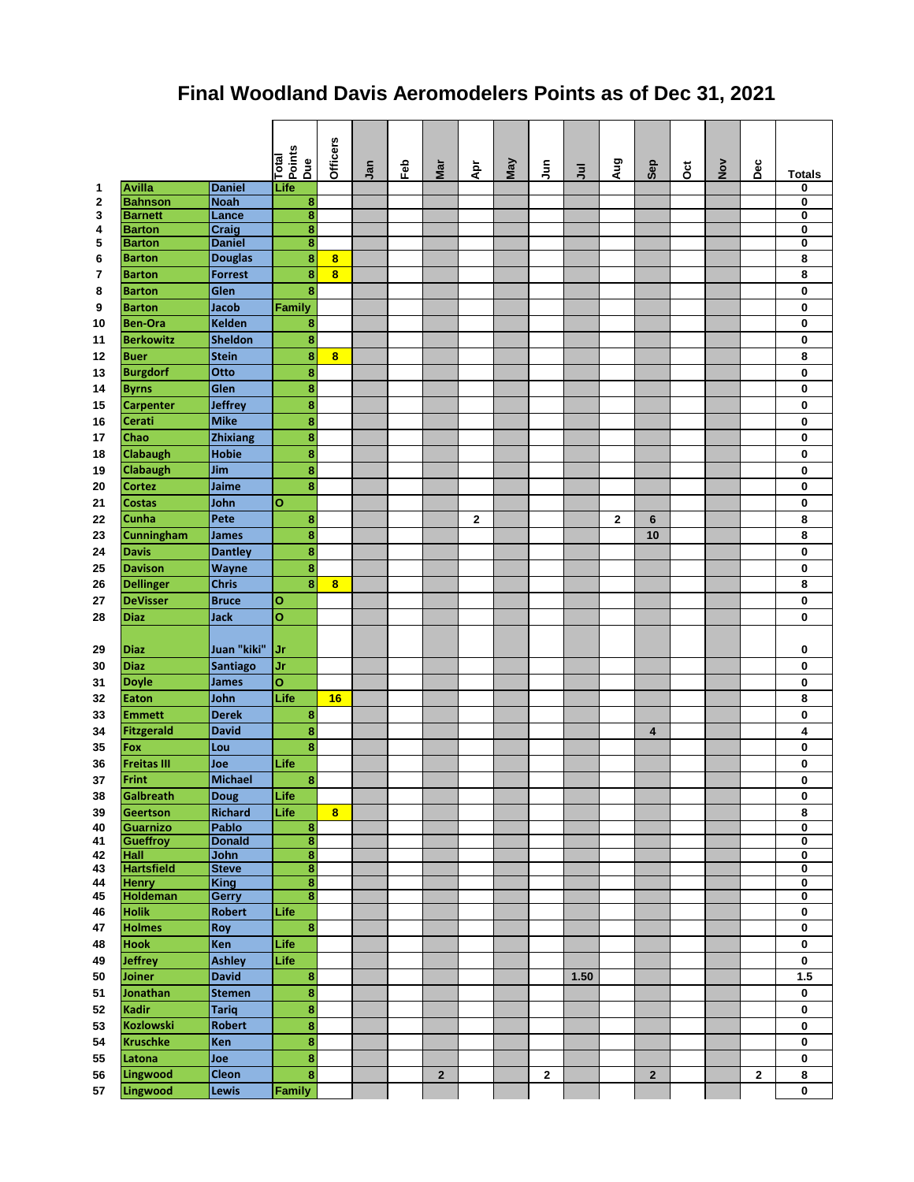## **Final Woodland Davis Aeromodelers Points as of Dec 31, 2021**

|          |                          |                        | Total<br>Points<br>Due             | Officers                | Jan | Feb | Mar            | Āpr         | May | $\frac{5}{7}$ | $\bar{z}$ | Aug         | Sep                     | ö | $\mathop{\bullet}\limits^{\text{>}}$ | $_{\rm Dec}$ | <b>Totals</b>                |
|----------|--------------------------|------------------------|------------------------------------|-------------------------|-----|-----|----------------|-------------|-----|---------------|-----------|-------------|-------------------------|---|--------------------------------------|--------------|------------------------------|
| 1        | <b>Avilla</b>            | <b>Daniel</b>          | Life                               |                         |     |     |                |             |     |               |           |             |                         |   |                                      |              | 0                            |
| 2        | <b>Bahnson</b>           | <b>Noah</b>            | 8                                  |                         |     |     |                |             |     |               |           |             |                         |   |                                      |              | 0                            |
| 3        | <b>Barnett</b>           | Lance                  | 8                                  |                         |     |     |                |             |     |               |           |             |                         |   |                                      |              | 0                            |
| 4        | <b>Barton</b>            | Craig                  | $\bf{8}$                           |                         |     |     |                |             |     |               |           |             |                         |   |                                      |              | 0                            |
| 5        | <b>Barton</b>            | <b>Daniel</b>          | $\bf8$                             |                         |     |     |                |             |     |               |           |             |                         |   |                                      |              | 0                            |
| 6        | <b>Barton</b>            | <b>Douglas</b>         | 8                                  | 8                       |     |     |                |             |     |               |           |             |                         |   |                                      |              | 8                            |
| 7        | <b>Barton</b>            | <b>Forrest</b>         | 8                                  | $\overline{\mathbf{8}}$ |     |     |                |             |     |               |           |             |                         |   |                                      |              | 8                            |
| 8        | <b>Barton</b>            | Glen                   | 8                                  |                         |     |     |                |             |     |               |           |             |                         |   |                                      |              | 0                            |
| 9        | <b>Barton</b>            | <b>Jacob</b>           | Family                             |                         |     |     |                |             |     |               |           |             |                         |   |                                      |              | 0                            |
| 10       | <b>Ben-Ora</b>           | <b>Kelden</b>          | $\bf{8}$                           |                         |     |     |                |             |     |               |           |             |                         |   |                                      |              | 0                            |
| 11       | <b>Berkowitz</b>         | <b>Sheldon</b>         | 8                                  |                         |     |     |                |             |     |               |           |             |                         |   |                                      |              | 0                            |
| 12       | <b>Buer</b>              | <b>Stein</b>           | $\bf 8$                            | 8                       |     |     |                |             |     |               |           |             |                         |   |                                      |              | 8                            |
| 13       | <b>Burgdorf</b>          | Otto                   | 8                                  |                         |     |     |                |             |     |               |           |             |                         |   |                                      |              | 0                            |
| 14       | <b>Byrns</b>             | Glen                   | $\bf8$                             |                         |     |     |                |             |     |               |           |             |                         |   |                                      |              | 0                            |
| 15       | <b>Carpenter</b>         | <b>Jeffrey</b>         | 8                                  |                         |     |     |                |             |     |               |           |             |                         |   |                                      |              | 0                            |
| 16       | Cerati                   | <b>Mike</b>            | 8                                  |                         |     |     |                |             |     |               |           |             |                         |   |                                      |              | 0                            |
| 17       | Chao                     | <b>Zhixiang</b>        | 8                                  |                         |     |     |                |             |     |               |           |             |                         |   |                                      |              | 0                            |
| 18       | <b>Clabaugh</b>          | <b>Hobie</b>           | 8                                  |                         |     |     |                |             |     |               |           |             |                         |   |                                      |              | 0                            |
| 19       | <b>Clabaugh</b>          | Jim                    | 8                                  |                         |     |     |                |             |     |               |           |             |                         |   |                                      |              | 0                            |
| 20       | <b>Cortez</b>            | Jaime                  | 8                                  |                         |     |     |                |             |     |               |           |             |                         |   |                                      |              | 0                            |
| 21       | <b>Costas</b>            | John                   | $\mathbf{o}$                       |                         |     |     |                |             |     |               |           |             |                         |   |                                      |              | 0                            |
| 22       | Cunha                    | Pete                   | 8                                  |                         |     |     |                | $\mathbf 2$ |     |               |           | $\mathbf 2$ | $6\phantom{1}$          |   |                                      |              | 8                            |
| 23       | <b>Cunningham</b>        | <b>James</b>           | $\bf 8$                            |                         |     |     |                |             |     |               |           |             | 10                      |   |                                      |              | 8                            |
| 24       | <b>Davis</b>             | <b>Dantley</b>         | 8                                  |                         |     |     |                |             |     |               |           |             |                         |   |                                      |              | 0                            |
| 25       | <b>Davison</b>           | Wayne                  | $\bf{8}$                           |                         |     |     |                |             |     |               |           |             |                         |   |                                      |              | 0                            |
|          |                          | <b>Chris</b>           | 8                                  |                         |     |     |                |             |     |               |           |             |                         |   |                                      |              |                              |
| 26       | <b>Dellinger</b>         |                        |                                    | 8                       |     |     |                |             |     |               |           |             |                         |   |                                      |              | 8                            |
| 27       | <b>DeVisser</b>          | <b>Bruce</b>           | O                                  |                         |     |     |                |             |     |               |           |             |                         |   |                                      |              | 0                            |
| 28       | <b>Diaz</b>              | <b>Jack</b>            | O                                  |                         |     |     |                |             |     |               |           |             |                         |   |                                      |              | 0                            |
|          |                          |                        |                                    |                         |     |     |                |             |     |               |           |             |                         |   |                                      |              |                              |
| 29       | <b>Diaz</b>              | Juan "kiki"            | Jr                                 |                         |     |     |                |             |     |               |           |             |                         |   |                                      |              | 0                            |
| 30       | <b>Diaz</b>              | <b>Santiago</b>        | Jr                                 |                         |     |     |                |             |     |               |           |             |                         |   |                                      |              | 0                            |
| 31       | <b>Doyle</b>             | <b>James</b>           | $\mathbf{o}$                       |                         |     |     |                |             |     |               |           |             |                         |   |                                      |              | 0                            |
| 32       | Eaton                    | John                   | Life                               | 16                      |     |     |                |             |     |               |           |             |                         |   |                                      |              | 8                            |
| 33       | <b>Emmett</b>            | <b>Derek</b>           | 8                                  |                         |     |     |                |             |     |               |           |             |                         |   |                                      |              | 0                            |
| 34       | Fitzgerald               | <b>David</b>           | $\bf{8}$                           |                         |     |     |                |             |     |               |           |             | $\overline{\mathbf{4}}$ |   |                                      |              | 4                            |
| 35       | <b>Fox</b>               | Lou                    | 8                                  |                         |     |     |                |             |     |               |           |             |                         |   |                                      |              | 0                            |
| 36       | <b>Freitas III</b>       | Joe                    | Life                               |                         |     |     |                |             |     |               |           |             |                         |   |                                      |              | 0                            |
| 37       | Frint                    | <b>Michael</b>         | 8                                  |                         |     |     |                |             |     |               |           |             |                         |   |                                      |              | 0                            |
| 38       | Galbreath                | <b>Doug</b>            | Life                               |                         |     |     |                |             |     |               |           |             |                         |   |                                      |              | 0                            |
| 39       | Geertson                 | <b>Richard</b>         | Life                               | $\overline{\mathbf{8}}$ |     |     |                |             |     |               |           |             |                         |   |                                      |              | 8                            |
| 40       | Guarnizo                 | Pablo                  | $\bf{8}$                           |                         |     |     |                |             |     |               |           |             |                         |   |                                      |              | 0                            |
| 41       | Gueffroy                 | <b>Donald</b>          | 8                                  |                         |     |     |                |             |     |               |           |             |                         |   |                                      |              | 0                            |
| 42       | Hall                     | John                   | 8                                  |                         |     |     |                |             |     |               |           |             |                         |   |                                      |              | 0                            |
| 43       | <b>Hartsfield</b>        | <b>Steve</b>           | $\bf{8}$                           |                         |     |     |                |             |     |               |           |             |                         |   |                                      |              | $\overline{\mathbf{0}}$      |
| 44<br>45 | <b>Henry</b>             | <b>King</b>            | $\overline{\mathbf{8}}$<br>$\bf 8$ |                         |     |     |                |             |     |               |           |             |                         |   |                                      |              | 0<br>$\overline{\mathbf{0}}$ |
| 46       | Holdeman<br><b>Holik</b> | Gerry<br><b>Robert</b> | Life                               |                         |     |     |                |             |     |               |           |             |                         |   |                                      |              | 0                            |
|          |                          |                        |                                    |                         |     |     |                |             |     |               |           |             |                         |   |                                      |              |                              |
| 47       | <b>Holmes</b>            | Roy                    | $\bf8$                             |                         |     |     |                |             |     |               |           |             |                         |   |                                      |              | 0                            |
| 48       | <b>Hook</b>              | Ken                    | Life                               |                         |     |     |                |             |     |               |           |             |                         |   |                                      |              | 0                            |
| 49       | <b>Jeffrey</b>           | <b>Ashley</b>          | Life                               |                         |     |     |                |             |     |               |           |             |                         |   |                                      |              | 0                            |
| 50       | Joiner                   | <b>David</b>           | $\bf8$                             |                         |     |     |                |             |     |               | 1.50      |             |                         |   |                                      |              | $1.5$                        |
| 51       | Jonathan                 | <b>Stemen</b>          | $\bf 8$                            |                         |     |     |                |             |     |               |           |             |                         |   |                                      |              | 0                            |
| 52       | <b>Kadir</b>             | <b>Tariq</b>           | $\bf 8$                            |                         |     |     |                |             |     |               |           |             |                         |   |                                      |              | 0                            |
| 53       | Kozlowski                | Robert                 | $\bf 8$                            |                         |     |     |                |             |     |               |           |             |                         |   |                                      |              | 0                            |
| 54       | <b>Kruschke</b>          | Ken                    | $\bf{8}$                           |                         |     |     |                |             |     |               |           |             |                         |   |                                      |              | 0                            |
| 55       | Latona                   | Joe                    | $\pmb{8}$                          |                         |     |     |                |             |     |               |           |             |                         |   |                                      |              | $\pmb{0}$                    |
| 56       | Lingwood                 | <b>Cleon</b>           | 8                                  |                         |     |     | $\overline{2}$ |             |     | $\bf 2$       |           |             | $\overline{\mathbf{2}}$ |   |                                      | $\mathbf{2}$ | 8                            |
| 57       | <b>Lingwood</b>          | <b>Lewis</b>           | Family                             |                         |     |     |                |             |     |               |           |             |                         |   |                                      |              | 0                            |